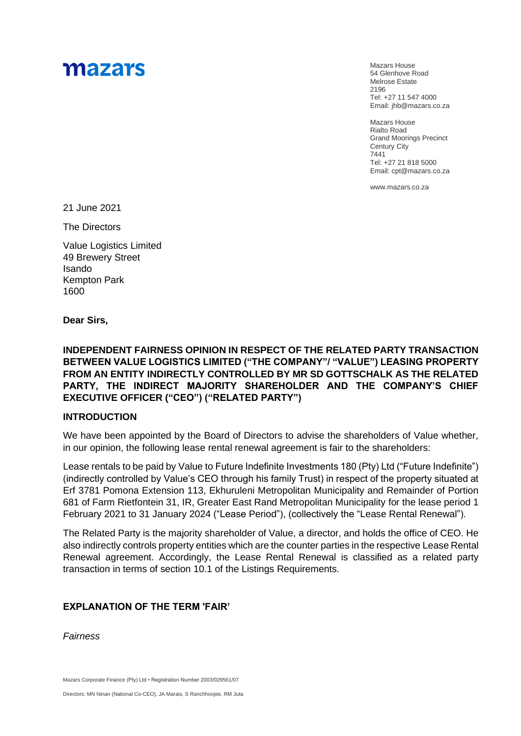# mazars

Mazars House 54 Glenhove Road Melrose Estate 2196 Tel: +27 11 547 4000 Email: jhb@mazars.co.za

Mazars House Rialto Road Grand Moorings Precinct Century City 7441 Tel: +27 21 818 5000 Email: cpt@mazars.co.za

[www.mazars.co.za](http://www.mazars.com/)

21 June 2021

The Directors

Value Logistics Limited 49 Brewery Street Isando Kempton Park 1600

**Dear Sirs,**

**INDEPENDENT FAIRNESS OPINION IN RESPECT OF THE RELATED PARTY TRANSACTION BETWEEN VALUE LOGISTICS LIMITED ("THE COMPANY"/ "VALUE") LEASING PROPERTY FROM AN ENTITY INDIRECTLY CONTROLLED BY MR SD GOTTSCHALK AS THE RELATED PARTY, THE INDIRECT MAJORITY SHAREHOLDER AND THE COMPANY'S CHIEF EXECUTIVE OFFICER ("CEO") ("RELATED PARTY")** 

#### **INTRODUCTION**

We have been appointed by the Board of Directors to advise the shareholders of Value whether, in our opinion, the following lease rental renewal agreement is fair to the shareholders:

Lease rentals to be paid by Value to Future Indefinite Investments 180 (Pty) Ltd ("Future Indefinite") (indirectly controlled by Value's CEO through his family Trust) in respect of the property situated at Erf 3781 Pomona Extension 113, Ekhuruleni Metropolitan Municipality and Remainder of Portion 681 of Farm Rietfontein 31, IR, Greater East Rand Metropolitan Municipality for the lease period 1 February 2021 to 31 January 2024 ("Lease Period"), (collectively the "Lease Rental Renewal").

The Related Party is the majority shareholder of Value, a director, and holds the office of CEO. He also indirectly controls property entities which are the counter parties in the respective Lease Rental Renewal agreement. Accordingly, the Lease Rental Renewal is classified as a related party transaction in terms of section 10.1 of the Listings Requirements.

## **EXPLANATION OF THE TERM 'FAIR'**

*Fairness*

Mazars Corporate Finance (Pty) Ltd • Registration Number 2003/029561/07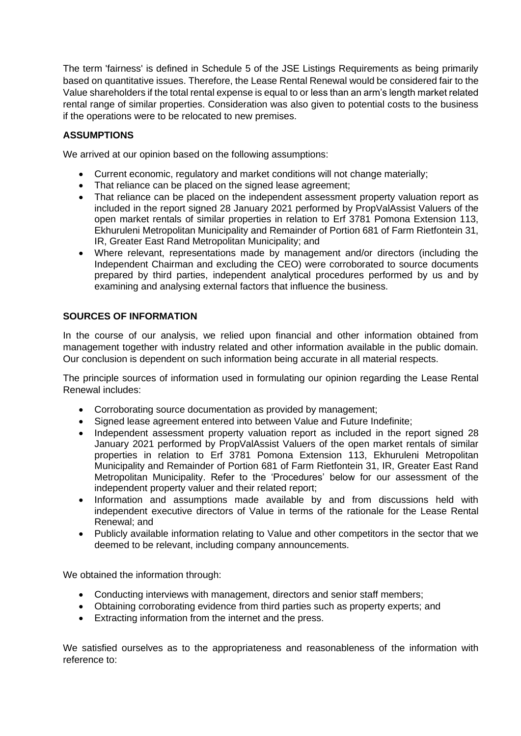The term 'fairness' is defined in Schedule 5 of the JSE Listings Requirements as being primarily based on quantitative issues. Therefore, the Lease Rental Renewal would be considered fair to the Value shareholders if the total rental expense is equal to or less than an arm's length market related rental range of similar properties. Consideration was also given to potential costs to the business if the operations were to be relocated to new premises.

# **ASSUMPTIONS**

We arrived at our opinion based on the following assumptions:

- Current economic, regulatory and market conditions will not change materially;
- That reliance can be placed on the signed lease agreement;
- That reliance can be placed on the independent assessment property valuation report as included in the report signed 28 January 2021 performed by PropValAssist Valuers of the open market rentals of similar properties in relation to Erf 3781 Pomona Extension 113, Ekhuruleni Metropolitan Municipality and Remainder of Portion 681 of Farm Rietfontein 31, IR, Greater East Rand Metropolitan Municipality; and
- Where relevant, representations made by management and/or directors (including the Independent Chairman and excluding the CEO) were corroborated to source documents prepared by third parties, independent analytical procedures performed by us and by examining and analysing external factors that influence the business.

# **SOURCES OF INFORMATION**

In the course of our analysis, we relied upon financial and other information obtained from management together with industry related and other information available in the public domain. Our conclusion is dependent on such information being accurate in all material respects.

The principle sources of information used in formulating our opinion regarding the Lease Rental Renewal includes:

- Corroborating source documentation as provided by management;
- Signed lease agreement entered into between Value and Future Indefinite;
- Independent assessment property valuation report as included in the report signed 28 January 2021 performed by PropValAssist Valuers of the open market rentals of similar properties in relation to Erf 3781 Pomona Extension 113, Ekhuruleni Metropolitan Municipality and Remainder of Portion 681 of Farm Rietfontein 31, IR, Greater East Rand Metropolitan Municipality. Refer to the 'Procedures' below for our assessment of the independent property valuer and their related report;
- Information and assumptions made available by and from discussions held with independent executive directors of Value in terms of the rationale for the Lease Rental Renewal; and
- Publicly available information relating to Value and other competitors in the sector that we deemed to be relevant, including company announcements.

We obtained the information through:

- Conducting interviews with management, directors and senior staff members;
- Obtaining corroborating evidence from third parties such as property experts; and
- Extracting information from the internet and the press.

We satisfied ourselves as to the appropriateness and reasonableness of the information with reference to: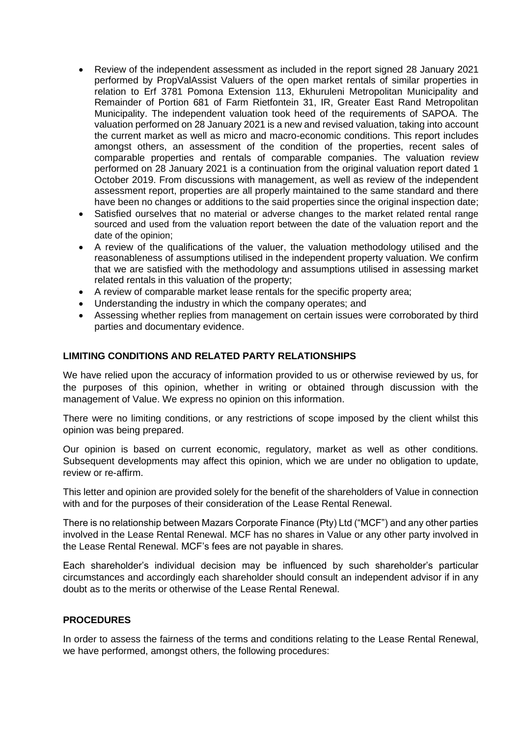- Review of the independent assessment as included in the report signed 28 January 2021 performed by PropValAssist Valuers of the open market rentals of similar properties in relation to Erf 3781 Pomona Extension 113, Ekhuruleni Metropolitan Municipality and Remainder of Portion 681 of Farm Rietfontein 31, IR, Greater East Rand Metropolitan Municipality. The independent valuation took heed of the requirements of SAPOA. The valuation performed on 28 January 2021 is a new and revised valuation, taking into account the current market as well as micro and macro-economic conditions. This report includes amongst others, an assessment of the condition of the properties, recent sales of comparable properties and rentals of comparable companies. The valuation review performed on 28 January 2021 is a continuation from the original valuation report dated 1 October 2019. From discussions with management, as well as review of the independent assessment report, properties are all properly maintained to the same standard and there have been no changes or additions to the said properties since the original inspection date;
- Satisfied ourselves that no material or adverse changes to the market related rental range sourced and used from the valuation report between the date of the valuation report and the date of the opinion;
- A review of the qualifications of the valuer, the valuation methodology utilised and the reasonableness of assumptions utilised in the independent property valuation. We confirm that we are satisfied with the methodology and assumptions utilised in assessing market related rentals in this valuation of the property;
- A review of comparable market lease rentals for the specific property area;
- Understanding the industry in which the company operates; and
- Assessing whether replies from management on certain issues were corroborated by third parties and documentary evidence.

## **LIMITING CONDITIONS AND RELATED PARTY RELATIONSHIPS**

We have relied upon the accuracy of information provided to us or otherwise reviewed by us, for the purposes of this opinion, whether in writing or obtained through discussion with the management of Value. We express no opinion on this information.

There were no limiting conditions, or any restrictions of scope imposed by the client whilst this opinion was being prepared.

Our opinion is based on current economic, regulatory, market as well as other conditions. Subsequent developments may affect this opinion, which we are under no obligation to update, review or re-affirm.

This letter and opinion are provided solely for the benefit of the shareholders of Value in connection with and for the purposes of their consideration of the Lease Rental Renewal.

There is no relationship between Mazars Corporate Finance (Pty) Ltd ("MCF") and any other parties involved in the Lease Rental Renewal. MCF has no shares in Value or any other party involved in the Lease Rental Renewal. MCF's fees are not payable in shares.

Each shareholder's individual decision may be influenced by such shareholder's particular circumstances and accordingly each shareholder should consult an independent advisor if in any doubt as to the merits or otherwise of the Lease Rental Renewal.

#### **PROCEDURES**

In order to assess the fairness of the terms and conditions relating to the Lease Rental Renewal, we have performed, amongst others, the following procedures: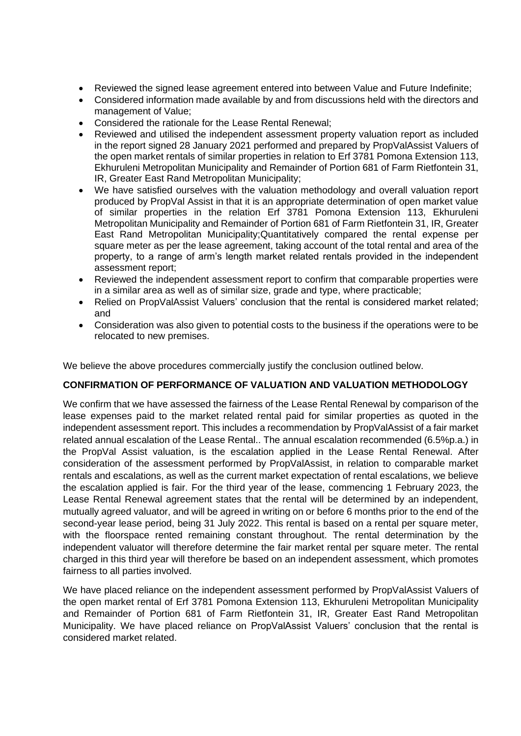- Reviewed the signed lease agreement entered into between Value and Future Indefinite;
- Considered information made available by and from discussions held with the directors and management of Value;
- Considered the rationale for the Lease Rental Renewal;
- Reviewed and utilised the independent assessment property valuation report as included in the report signed 28 January 2021 performed and prepared by PropValAssist Valuers of the open market rentals of similar properties in relation to Erf 3781 Pomona Extension 113, Ekhuruleni Metropolitan Municipality and Remainder of Portion 681 of Farm Rietfontein 31, IR, Greater East Rand Metropolitan Municipality;
- We have satisfied ourselves with the valuation methodology and overall valuation report produced by PropVal Assist in that it is an appropriate determination of open market value of similar properties in the relation Erf 3781 Pomona Extension 113, Ekhuruleni Metropolitan Municipality and Remainder of Portion 681 of Farm Rietfontein 31, IR, Greater East Rand Metropolitan Municipality;Quantitatively compared the rental expense per square meter as per the lease agreement, taking account of the total rental and area of the property, to a range of arm's length market related rentals provided in the independent assessment report;
- Reviewed the independent assessment report to confirm that comparable properties were in a similar area as well as of similar size, grade and type, where practicable;
- Relied on PropValAssist Valuers' conclusion that the rental is considered market related: and
- Consideration was also given to potential costs to the business if the operations were to be relocated to new premises.

We believe the above procedures commercially justify the conclusion outlined below.

## **CONFIRMATION OF PERFORMANCE OF VALUATION AND VALUATION METHODOLOGY**

We confirm that we have assessed the fairness of the Lease Rental Renewal by comparison of the lease expenses paid to the market related rental paid for similar properties as quoted in the independent assessment report. This includes a recommendation by PropValAssist of a fair market related annual escalation of the Lease Rental.. The annual escalation recommended (6.5%p.a.) in the PropVal Assist valuation, is the escalation applied in the Lease Rental Renewal. After consideration of the assessment performed by PropValAssist, in relation to comparable market rentals and escalations, as well as the current market expectation of rental escalations, we believe the escalation applied is fair. For the third year of the lease, commencing 1 February 2023, the Lease Rental Renewal agreement states that the rental will be determined by an independent, mutually agreed valuator, and will be agreed in writing on or before 6 months prior to the end of the second-year lease period, being 31 July 2022. This rental is based on a rental per square meter, with the floorspace rented remaining constant throughout. The rental determination by the independent valuator will therefore determine the fair market rental per square meter. The rental charged in this third year will therefore be based on an independent assessment, which promotes fairness to all parties involved.

We have placed reliance on the independent assessment performed by PropValAssist Valuers of the open market rental of Erf 3781 Pomona Extension 113, Ekhuruleni Metropolitan Municipality and Remainder of Portion 681 of Farm Rietfontein 31, IR, Greater East Rand Metropolitan Municipality. We have placed reliance on PropValAssist Valuers' conclusion that the rental is considered market related.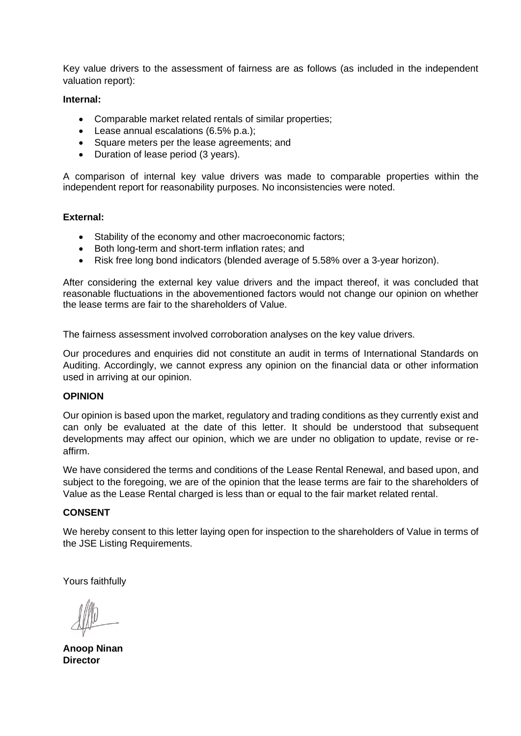Key value drivers to the assessment of fairness are as follows (as included in the independent valuation report):

#### **Internal:**

- Comparable market related rentals of similar properties;
- Lease annual escalations (6.5% p.a.);
- Square meters per the lease agreements; and
- Duration of lease period (3 years).

A comparison of internal key value drivers was made to comparable properties within the independent report for reasonability purposes. No inconsistencies were noted.

#### **External:**

- Stability of the economy and other macroeconomic factors;
- Both long-term and short-term inflation rates; and
- Risk free long bond indicators (blended average of 5.58% over a 3-year horizon).

After considering the external key value drivers and the impact thereof, it was concluded that reasonable fluctuations in the abovementioned factors would not change our opinion on whether the lease terms are fair to the shareholders of Value.

The fairness assessment involved corroboration analyses on the key value drivers.

Our procedures and enquiries did not constitute an audit in terms of International Standards on Auditing. Accordingly, we cannot express any opinion on the financial data or other information used in arriving at our opinion.

#### **OPINION**

Our opinion is based upon the market, regulatory and trading conditions as they currently exist and can only be evaluated at the date of this letter. It should be understood that subsequent developments may affect our opinion, which we are under no obligation to update, revise or reaffirm.

We have considered the terms and conditions of the Lease Rental Renewal, and based upon, and subject to the foregoing, we are of the opinion that the lease terms are fair to the shareholders of Value as the Lease Rental charged is less than or equal to the fair market related rental.

#### **CONSENT**

We hereby consent to this letter laying open for inspection to the shareholders of Value in terms of the JSE Listing Requirements.

Yours faithfully

**Anoop Ninan Director**